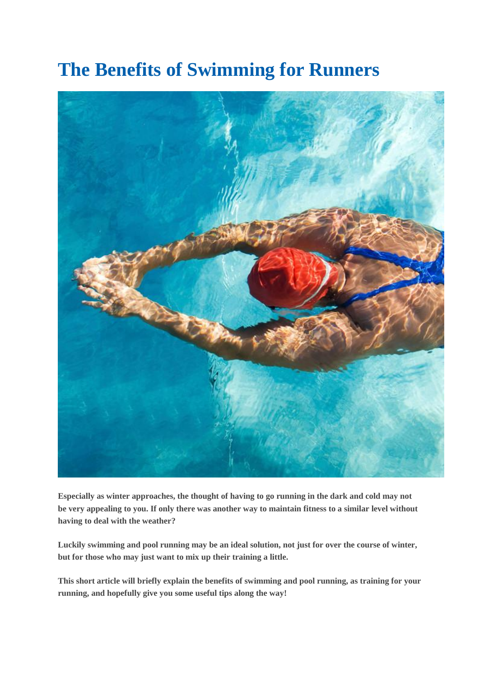# **The Benefits of Swimming for Runners**



**Especially as winter approaches, the thought of having to go running in the dark and cold may not be very appealing to you. If only there was another way to maintain fitness to a similar level without having to deal with the weather?**

**Luckily swimming and pool running may be an ideal solution, not just for over the course of winter, but for those who may just want to mix up their training a little.**

**This short article will briefly explain the benefits of swimming and pool running, as training for your running, and hopefully give you some useful tips along the way!**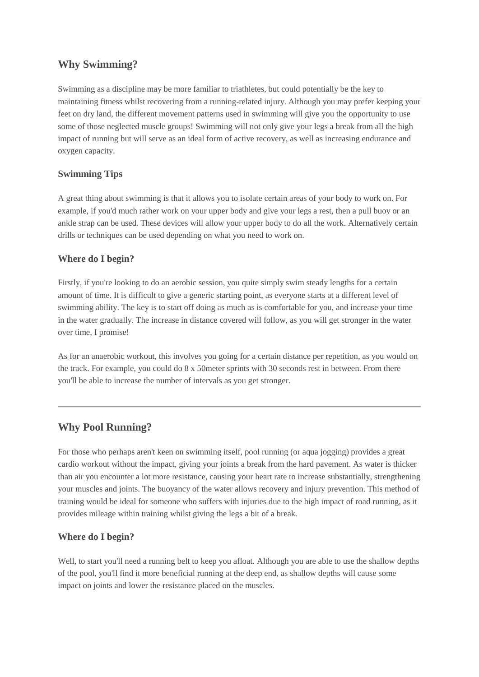## **Why Swimming?**

Swimming as a discipline may be more familiar to triathletes, but could potentially be the key to maintaining fitness whilst recovering from a running-related injury. Although you may prefer keeping your feet on dry land, the different movement patterns used in swimming will give you the opportunity to use some of those neglected muscle groups! Swimming will not only give your legs a break from all the high impact of running but will serve as an ideal form of active recovery, as well as increasing endurance and oxygen capacity.

#### **Swimming Tips**

A great thing about swimming is that it allows you to isolate certain areas of your body to work on. For example, if you'd much rather work on your upper body and give your legs a rest, then a pull buoy or an ankle strap can be used. These devices will allow your upper body to do all the work. Alternatively certain drills or techniques can be used depending on what you need to work on.

#### **Where do I begin?**

Firstly, if you're looking to do an aerobic session, you quite simply swim steady lengths for a certain amount of time. It is difficult to give a generic starting point, as everyone starts at a different level of swimming ability. The key is to start off doing as much as is comfortable for you, and increase your time in the water gradually. The increase in distance covered will follow, as you will get stronger in the water over time, I promise!

As for an anaerobic workout, this involves you going for a certain distance per repetition, as you would on the track. For example, you could do 8 x 50meter sprints with 30 seconds rest in between. From there you'll be able to increase the number of intervals as you get stronger.

## **Why Pool Running?**

For those who perhaps aren't keen on swimming itself, pool running (or aqua jogging) provides a great cardio workout without the impact, giving your joints a break from the hard pavement. As water is thicker than air you encounter a lot more resistance, causing your heart rate to increase substantially, strengthening your muscles and joints. The buoyancy of the water allows recovery and injury prevention. This method of training would be ideal for someone who suffers with injuries due to the high impact of road running, as it provides mileage within training whilst giving the legs a bit of a break.

### **Where do I begin?**

Well, to start you'll need a running belt to keep you afloat. Although you are able to use the shallow depths of the pool, you'll find it more beneficial running at the deep end, as shallow depths will cause some impact on joints and lower the resistance placed on the muscles.